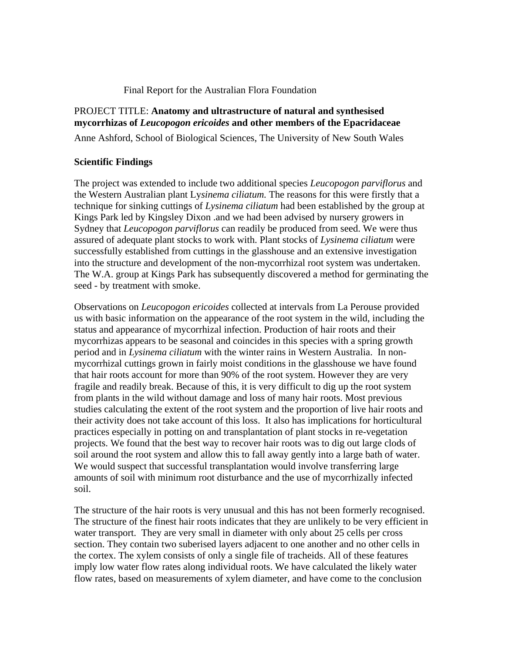### Final Report for the Australian Flora Foundation

# PROJECT TITLE: **Anatomy and ultrastructure of natural and synthesised mycorrhizas of** *Leucopogon ericoides* **and other members of the Epacridaceae**

Anne Ashford, School of Biological Sciences, The University of New South Wales

## **Scientific Findings**

The project was extended to include two additional species *Leucopogon parviflorus* and the Western Australian plant Ly*sinema ciliatum.* The reasons for this were firstly that a technique for sinking cuttings of *Lysinema ciliatum* had been established by the group at Kings Park led by Kingsley Dixon .and we had been advised by nursery growers in Sydney that *Leucopogon parviflorus* can readily be produced from seed. We were thus assured of adequate plant stocks to work with. Plant stocks of *Lysinema ciliatum* were successfully established from cuttings in the glasshouse and an extensive investigation into the structure and development of the non-mycorrhizal root system was undertaken. The W.A. group at Kings Park has subsequently discovered a method for germinating the seed - by treatment with smoke.

Observations on *Leucopogon ericoides* collected at intervals from La Perouse provided us with basic information on the appearance of the root system in the wild, including the status and appearance of mycorrhizal infection. Production of hair roots and their mycorrhizas appears to be seasonal and coincides in this species with a spring growth period and in *Lysinema ciliatum* with the winter rains in Western Australia. In nonmycorrhizal cuttings grown in fairly moist conditions in the glasshouse we have found that hair roots account for more than 90% of the root system. However they are very fragile and readily break. Because of this, it is very difficult to dig up the root system from plants in the wild without damage and loss of many hair roots. Most previous studies calculating the extent of the root system and the proportion of live hair roots and their activity does not take account of this loss. It also has implications for horticultural practices especially in potting on and transplantation of plant stocks in re-vegetation projects. We found that the best way to recover hair roots was to dig out large clods of soil around the root system and allow this to fall away gently into a large bath of water. We would suspect that successful transplantation would involve transferring large amounts of soil with minimum root disturbance and the use of mycorrhizally infected soil.

The structure of the hair roots is very unusual and this has not been formerly recognised. The structure of the finest hair roots indicates that they are unlikely to be very efficient in water transport. They are very small in diameter with only about 25 cells per cross section. They contain two suberised layers adjacent to one another and no other cells in the cortex. The xylem consists of only a single file of tracheids. All of these features imply low water flow rates along individual roots. We have calculated the likely water flow rates, based on measurements of xylem diameter, and have come to the conclusion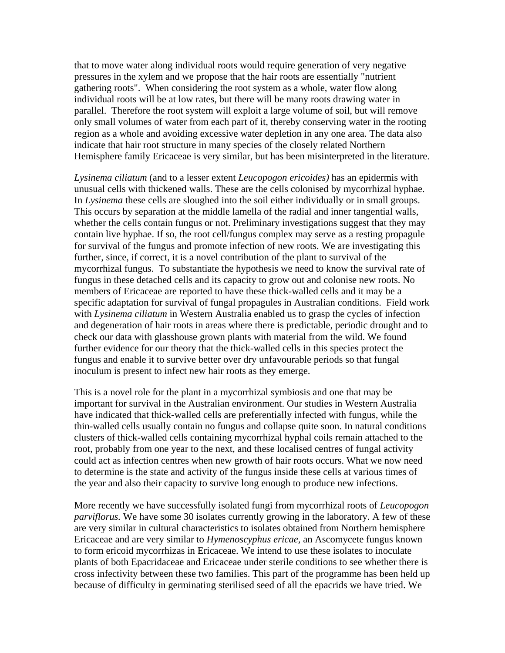that to move water along individual roots would require generation of very negative pressures in the xylem and we propose that the hair roots are essentially "nutrient gathering roots". When considering the root system as a whole, water flow along individual roots will be at low rates, but there will be many roots drawing water in parallel. Therefore the root system will exploit a large volume of soil, but will remove only small volumes of water from each part of it, thereby conserving water in the rooting region as a whole and avoiding excessive water depletion in any one area. The data also indicate that hair root structure in many species of the closely related Northern Hemisphere family Ericaceae is very similar, but has been misinterpreted in the literature.

*Lysinema ciliatum* (and to a lesser extent *Leucopogon ericoides)* has an epidermis with unusual cells with thickened walls. These are the cells colonised by mycorrhizal hyphae. In *Lysinema* these cells are sloughed into the soil either individually or in small groups. This occurs by separation at the middle lamella of the radial and inner tangential walls, whether the cells contain fungus or not. Preliminary investigations suggest that they may contain live hyphae. If so, the root cell/fungus complex may serve as a resting propagule for survival of the fungus and promote infection of new roots. We are investigating this further, since, if correct, it is a novel contribution of the plant to survival of the mycorrhizal fungus. To substantiate the hypothesis we need to know the survival rate of fungus in these detached cells and its capacity to grow out and colonise new roots. No members of Ericaceae are reported to have these thick-walled cells and it may be a specific adaptation for survival of fungal propagules in Australian conditions. Field work with *Lysinema ciliatum* in Western Australia enabled us to grasp the cycles of infection and degeneration of hair roots in areas where there is predictable, periodic drought and to check our data with glasshouse grown plants with material from the wild. We found further evidence for our theory that the thick-walled cells in this species protect the fungus and enable it to survive better over dry unfavourable periods so that fungal inoculum is present to infect new hair roots as they emerge.

This is a novel role for the plant in a mycorrhizal symbiosis and one that may be important for survival in the Australian environment. Our studies in Western Australia have indicated that thick-walled cells are preferentially infected with fungus, while the thin-walled cells usually contain no fungus and collapse quite soon. In natural conditions clusters of thick-walled cells containing mycorrhizal hyphal coils remain attached to the root, probably from one year to the next, and these localised centres of fungal activity could act as infection centres when new growth of hair roots occurs. What we now need to determine is the state and activity of the fungus inside these cells at various times of the year and also their capacity to survive long enough to produce new infections.

More recently we have successfully isolated fungi from mycorrhizal roots of *Leucopogon parviflorus.* We have some 30 isolates currently growing in the laboratory. A few of these are very similar in cultural characteristics to isolates obtained from Northern hemisphere Ericaceae and are very similar to *Hymenoscyphus ericae,* an Ascomycete fungus known to form ericoid mycorrhizas in Ericaceae. We intend to use these isolates to inoculate plants of both Epacridaceae and Ericaceae under sterile conditions to see whether there is cross infectivity between these two families. This part of the programme has been held up because of difficulty in germinating sterilised seed of all the epacrids we have tried. We